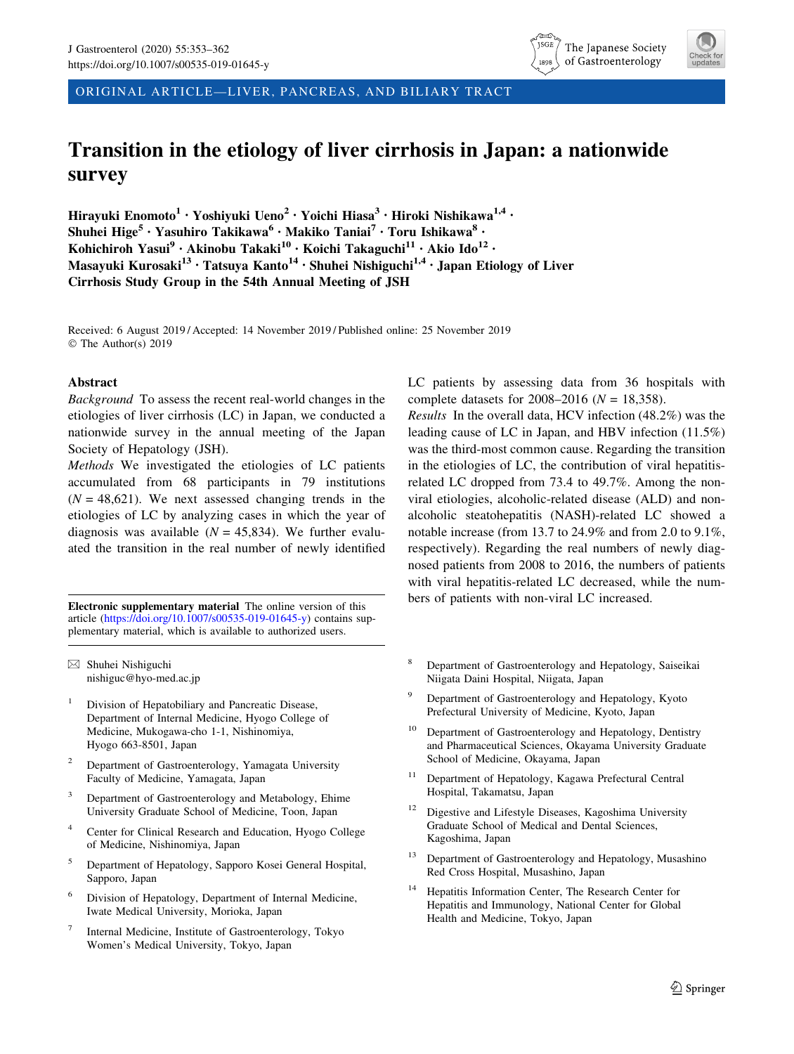ORIGINAL ARTICLE—LIVER, PANCREAS, AND BILIARY TRACT

# Transition in the etiology of liver cirrhosis in Japan: a nationwide survey

Hirayuki Enomoto<sup>1</sup> • Yoshiyuki Ueno<sup>2</sup> • Yoichi Hiasa<sup>3</sup> • Hiroki Nishikawa<sup>1,4</sup> • Shuhei Hige<sup>5</sup> • Yasuhiro Takikawa<sup>6</sup> • Makiko Taniai<sup>7</sup> • Toru Ishikawa<sup>8</sup> • Kohichiroh Yasui<sup>9</sup> · Akinobu Takaki<sup>10</sup> · Koichi Takaguchi<sup>11</sup> · Akio Ido<sup>12</sup> · Masayuki Kurosaki<sup>13</sup> • Tatsuya Kanto<sup>14</sup> • Shuhei Nishiguchi<sup>1,4</sup> • Japan Etiology of Liver Cirrhosis Study Group in the 54th Annual Meeting of JSH

Received: 6 August 2019 / Accepted: 14 November 2019 / Published online: 25 November 2019 © The Author(s) 2019

#### Abstract

Background To assess the recent real-world changes in the etiologies of liver cirrhosis (LC) in Japan, we conducted a nationwide survey in the annual meeting of the Japan Society of Hepatology (JSH).

Methods We investigated the etiologies of LC patients accumulated from 68 participants in 79 institutions  $(N = 48,621)$ . We next assessed changing trends in the etiologies of LC by analyzing cases in which the year of diagnosis was available  $(N = 45,834)$ . We further evaluated the transition in the real number of newly identified

article [\(https://doi.org/10.1007/s00535-019-01645-y](https://doi.org/10.1007/s00535-019-01645-y)) contains supplementary material, which is available to authorized users.

 $\boxtimes$  Shuhei Nishiguchi nishiguc@hyo-med.ac.jp

- <sup>1</sup> Division of Hepatobiliary and Pancreatic Disease, Department of Internal Medicine, Hyogo College of Medicine, Mukogawa-cho 1-1, Nishinomiya, Hyogo 663-8501, Japan
- <sup>2</sup> Department of Gastroenterology, Yamagata University Faculty of Medicine, Yamagata, Japan
- Department of Gastroenterology and Metabology, Ehime University Graduate School of Medicine, Toon, Japan
- Center for Clinical Research and Education, Hyogo College of Medicine, Nishinomiya, Japan
- <sup>5</sup> Department of Hepatology, Sapporo Kosei General Hospital, Sapporo, Japan
- Division of Hepatology, Department of Internal Medicine, Iwate Medical University, Morioka, Japan
- <sup>7</sup> Internal Medicine, Institute of Gastroenterology, Tokyo Women's Medical University, Tokyo, Japan

LC patients by assessing data from 36 hospitals with complete datasets for 2008–2016 ( $N = 18,358$ ).

Results In the overall data, HCV infection (48.2%) was the leading cause of LC in Japan, and HBV infection (11.5%) was the third-most common cause. Regarding the transition in the etiologies of LC, the contribution of viral hepatitisrelated LC dropped from 73.4 to 49.7%. Among the nonviral etiologies, alcoholic-related disease (ALD) and nonalcoholic steatohepatitis (NASH)-related LC showed a notable increase (from 13.7 to 24.9% and from 2.0 to 9.1%, respectively). Regarding the real numbers of newly diagnosed patients from 2008 to 2016, the numbers of patients with viral hepatitis-related LC decreased, while the num-**Electronic supplementary material** The online version of this bers of patients with non-viral LC increased.

- <sup>8</sup> Department of Gastroenterology and Hepatology, Saiseikai Niigata Daini Hospital, Niigata, Japan
- Department of Gastroenterology and Hepatology, Kyoto Prefectural University of Medicine, Kyoto, Japan
- <sup>10</sup> Department of Gastroenterology and Hepatology, Dentistry and Pharmaceutical Sciences, Okayama University Graduate School of Medicine, Okayama, Japan
- <sup>11</sup> Department of Hepatology, Kagawa Prefectural Central Hospital, Takamatsu, Japan
- <sup>12</sup> Digestive and Lifestyle Diseases, Kagoshima University Graduate School of Medical and Dental Sciences, Kagoshima, Japan
- <sup>13</sup> Department of Gastroenterology and Hepatology, Musashino Red Cross Hospital, Musashino, Japan
- Hepatitis Information Center, The Research Center for Hepatitis and Immunology, National Center for Global Health and Medicine, Tokyo, Japan

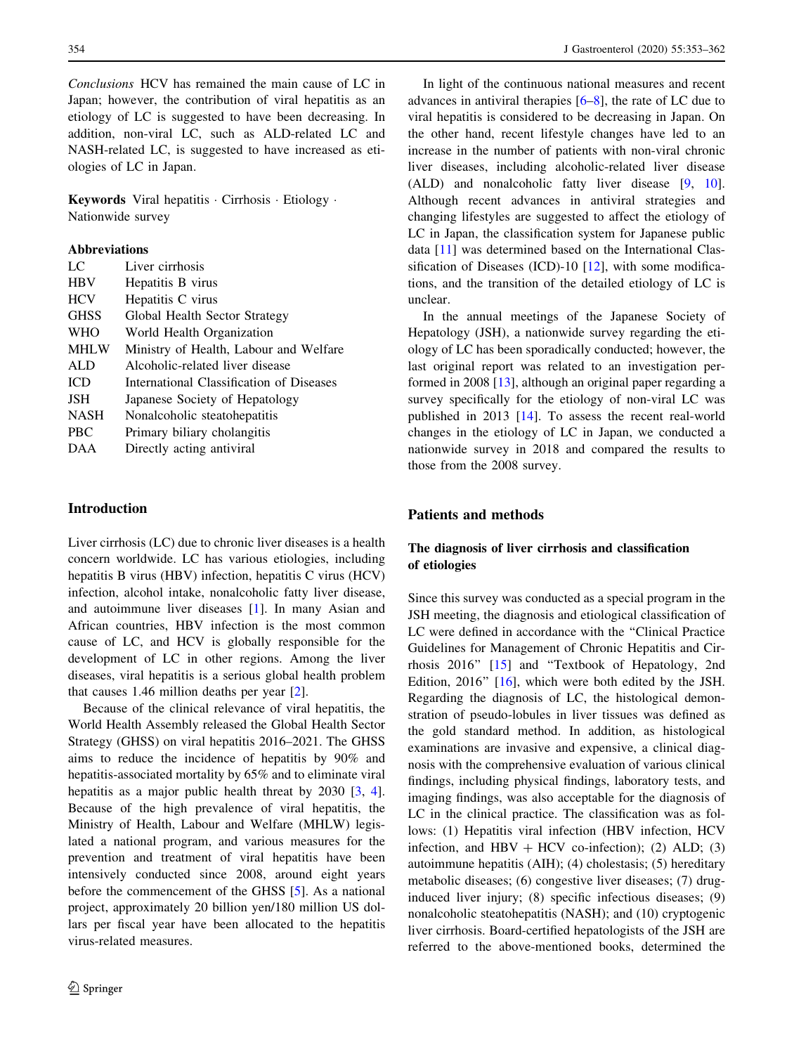<span id="page-1-0"></span>Conclusions HCV has remained the main cause of LC in Japan; however, the contribution of viral hepatitis as an etiology of LC is suggested to have been decreasing. In addition, non-viral LC, such as ALD-related LC and NASH-related LC, is suggested to have increased as etiologies of LC in Japan.

Keywords Viral hepatitis - Cirrhosis - Etiology - Nationwide survey

### Abbreviations

| LC          | Liver cirrhosis                          |
|-------------|------------------------------------------|
| <b>HBV</b>  | Hepatitis B virus                        |
| <b>HCV</b>  | Hepatitis C virus                        |
| <b>GHSS</b> | Global Health Sector Strategy            |
| <b>WHO</b>  | World Health Organization                |
| <b>MHLW</b> | Ministry of Health, Labour and Welfare   |
| ALD         | Alcoholic-related liver disease          |
| <b>ICD</b>  | International Classification of Diseases |
| <b>JSH</b>  | Japanese Society of Hepatology           |
| <b>NASH</b> | Nonalcoholic steatohepatitis             |
| <b>PBC</b>  | Primary biliary cholangitis              |
| DAA         | Directly acting antiviral                |
|             |                                          |

## Introduction

Liver cirrhosis (LC) due to chronic liver diseases is a health concern worldwide. LC has various etiologies, including hepatitis B virus (HBV) infection, hepatitis C virus (HCV) infection, alcohol intake, nonalcoholic fatty liver disease, and autoimmune liver diseases [\[1](#page-9-0)]. In many Asian and African countries, HBV infection is the most common cause of LC, and HCV is globally responsible for the development of LC in other regions. Among the liver diseases, viral hepatitis is a serious global health problem that causes 1.46 million deaths per year [[2\]](#page-9-0).

Because of the clinical relevance of viral hepatitis, the World Health Assembly released the Global Health Sector Strategy (GHSS) on viral hepatitis 2016–2021. The GHSS aims to reduce the incidence of hepatitis by 90% and hepatitis-associated mortality by 65% and to eliminate viral hepatitis as a major public health threat by 2030 [\[3](#page-9-0), [4](#page-9-0)]. Because of the high prevalence of viral hepatitis, the Ministry of Health, Labour and Welfare (MHLW) legislated a national program, and various measures for the prevention and treatment of viral hepatitis have been intensively conducted since 2008, around eight years before the commencement of the GHSS [[5\]](#page-9-0). As a national project, approximately 20 billion yen/180 million US dollars per fiscal year have been allocated to the hepatitis virus-related measures.

In light of the continuous national measures and recent advances in antiviral therapies [\[6–8](#page-9-0)], the rate of LC due to viral hepatitis is considered to be decreasing in Japan. On the other hand, recent lifestyle changes have led to an increase in the number of patients with non-viral chronic liver diseases, including alcoholic-related liver disease (ALD) and nonalcoholic fatty liver disease [\[9](#page-9-0), [10](#page-9-0)]. Although recent advances in antiviral strategies and changing lifestyles are suggested to affect the etiology of LC in Japan, the classification system for Japanese public data [[11\]](#page-9-0) was determined based on the International Clas-sification of Diseases (ICD)-10 [[12\]](#page-9-0), with some modifications, and the transition of the detailed etiology of LC is unclear.

In the annual meetings of the Japanese Society of Hepatology (JSH), a nationwide survey regarding the etiology of LC has been sporadically conducted; however, the last original report was related to an investigation performed in 2008 [\[13](#page-9-0)], although an original paper regarding a survey specifically for the etiology of non-viral LC was published in 2013 [[14](#page-9-0)]. To assess the recent real-world changes in the etiology of LC in Japan, we conducted a nationwide survey in 2018 and compared the results to those from the 2008 survey.

## Patients and methods

## The diagnosis of liver cirrhosis and classification of etiologies

Since this survey was conducted as a special program in the JSH meeting, the diagnosis and etiological classification of LC were defined in accordance with the ''Clinical Practice Guidelines for Management of Chronic Hepatitis and Cirrhosis 2016'' [[15\]](#page-9-0) and ''Textbook of Hepatology, 2nd Edition, 2016'' [[16](#page-9-0)], which were both edited by the JSH. Regarding the diagnosis of LC, the histological demonstration of pseudo-lobules in liver tissues was defined as the gold standard method. In addition, as histological examinations are invasive and expensive, a clinical diagnosis with the comprehensive evaluation of various clinical findings, including physical findings, laboratory tests, and imaging findings, was also acceptable for the diagnosis of LC in the clinical practice. The classification was as follows: (1) Hepatitis viral infection (HBV infection, HCV infection, and  $HBV + HCV$  co-infection); (2) ALD; (3) autoimmune hepatitis (AIH); (4) cholestasis; (5) hereditary metabolic diseases; (6) congestive liver diseases; (7) druginduced liver injury; (8) specific infectious diseases; (9) nonalcoholic steatohepatitis (NASH); and (10) cryptogenic liver cirrhosis. Board-certified hepatologists of the JSH are referred to the above-mentioned books, determined the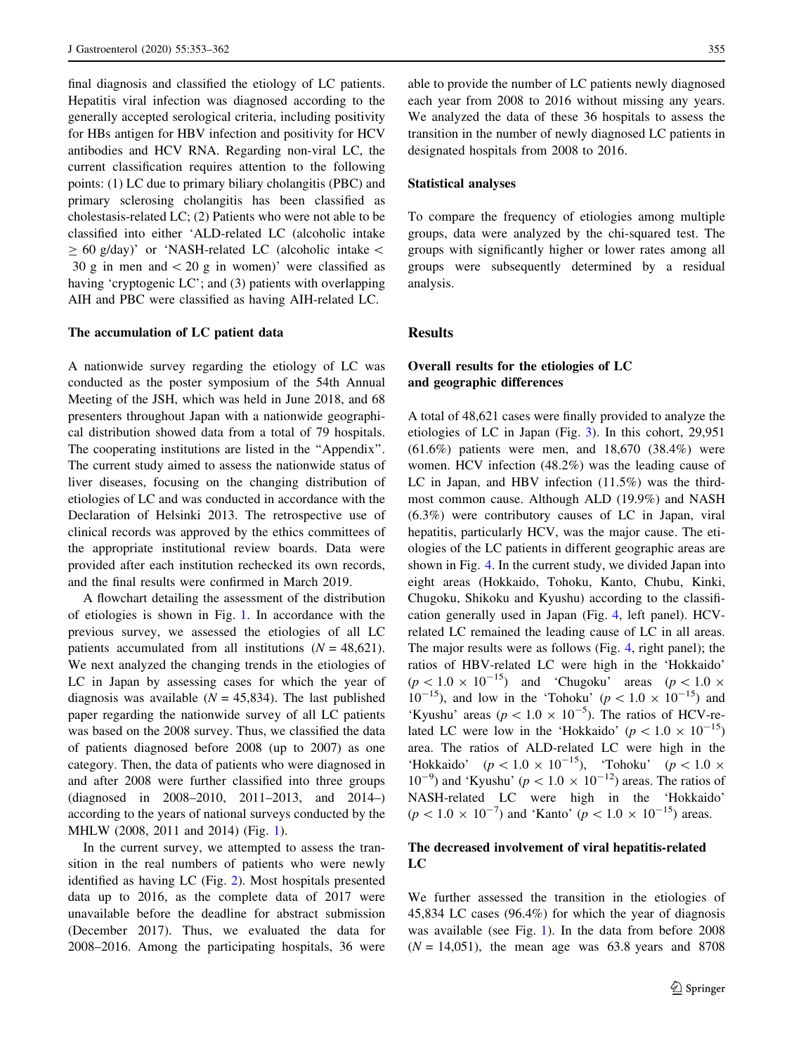final diagnosis and classified the etiology of LC patients. Hepatitis viral infection was diagnosed according to the generally accepted serological criteria, including positivity for HBs antigen for HBV infection and positivity for HCV antibodies and HCV RNA. Regarding non-viral LC, the current classification requires attention to the following points: (1) LC due to primary biliary cholangitis (PBC) and primary sclerosing cholangitis has been classified as cholestasis-related LC; (2) Patients who were not able to be classified into either 'ALD-related LC (alcoholic intake  $> 60$  g/day)' or 'NASH-related LC (alcoholic intake  $<$ 30 g in men and  $\langle 20 \text{ g} \rangle$  in women)' were classified as having 'cryptogenic LC'; and (3) patients with overlapping AIH and PBC were classified as having AIH-related LC.

#### The accumulation of LC patient data

A nationwide survey regarding the etiology of LC was conducted as the poster symposium of the 54th Annual Meeting of the JSH, which was held in June 2018, and 68 presenters throughout Japan with a nationwide geographical distribution showed data from a total of 79 hospitals. The cooperating institutions are listed in the ''Appendix''. The current study aimed to assess the nationwide status of liver diseases, focusing on the changing distribution of etiologies of LC and was conducted in accordance with the Declaration of Helsinki 2013. The retrospective use of clinical records was approved by the ethics committees of the appropriate institutional review boards. Data were provided after each institution rechecked its own records, and the final results were confirmed in March 2019.

A flowchart detailing the assessment of the distribution of etiologies is shown in Fig. [1](#page-3-0). In accordance with the previous survey, we assessed the etiologies of all LC patients accumulated from all institutions  $(N = 48.621)$ . We next analyzed the changing trends in the etiologies of LC in Japan by assessing cases for which the year of diagnosis was available ( $N = 45,834$ ). The last published paper regarding the nationwide survey of all LC patients was based on the 2008 survey. Thus, we classified the data of patients diagnosed before 2008 (up to 2007) as one category. Then, the data of patients who were diagnosed in and after 2008 were further classified into three groups (diagnosed in 2008–2010, 2011–2013, and 2014–) according to the years of national surveys conducted by the MHLW (2008, 2011 and 2014) (Fig. [1](#page-3-0)).

In the current survey, we attempted to assess the transition in the real numbers of patients who were newly identified as having LC (Fig. [2\)](#page-3-0). Most hospitals presented data up to 2016, as the complete data of 2017 were unavailable before the deadline for abstract submission (December 2017). Thus, we evaluated the data for 2008–2016. Among the participating hospitals, 36 were able to provide the number of LC patients newly diagnosed each year from 2008 to 2016 without missing any years. We analyzed the data of these 36 hospitals to assess the transition in the number of newly diagnosed LC patients in designated hospitals from 2008 to 2016.

#### Statistical analyses

To compare the frequency of etiologies among multiple groups, data were analyzed by the chi-squared test. The groups with significantly higher or lower rates among all groups were subsequently determined by a residual analysis.

#### Results

## Overall results for the etiologies of LC and geographic differences

A total of 48,621 cases were finally provided to analyze the etiologies of LC in Japan (Fig. [3](#page-4-0)). In this cohort, 29,951 (61.6%) patients were men, and 18,670 (38.4%) were women. HCV infection (48.2%) was the leading cause of LC in Japan, and HBV infection (11.5%) was the thirdmost common cause. Although ALD (19.9%) and NASH (6.3%) were contributory causes of LC in Japan, viral hepatitis, particularly HCV, was the major cause. The etiologies of the LC patients in different geographic areas are shown in Fig. [4.](#page-4-0) In the current study, we divided Japan into eight areas (Hokkaido, Tohoku, Kanto, Chubu, Kinki, Chugoku, Shikoku and Kyushu) according to the classification generally used in Japan (Fig. [4](#page-4-0), left panel). HCVrelated LC remained the leading cause of LC in all areas. The major results were as follows (Fig. [4,](#page-4-0) right panel); the ratios of HBV-related LC were high in the 'Hokkaido'  $(p<1.0 \times 10^{-15})$  and 'Chugoku' areas  $(p<1.0 \times$  $10^{-15}$ ), and low in the 'Tohoku' ( $p < 1.0 \times 10^{-15}$ ) and 'Kyushu' areas ( $p < 1.0 \times 10^{-5}$ ). The ratios of HCV-related LC were low in the 'Hokkaido' ( $p < 1.0 \times 10^{-15}$ ) area. The ratios of ALD-related LC were high in the 'Hokkaido'  $(p < 1.0 \times 10^{-15})$ , 'Tohoku'  $(p < 1.0 \times 10^{-15})$  $10^{-9}$ ) and 'Kyushu' ( $p < 1.0 \times 10^{-12}$ ) areas. The ratios of NASH-related LC were high in the 'Hokkaido'  $(p < 1.0 \times 10^{-7})$  and 'Kanto'  $(p < 1.0 \times 10^{-15})$  areas.

## The decreased involvement of viral hepatitis-related LC

We further assessed the transition in the etiologies of 45,834 LC cases (96.4%) for which the year of diagnosis was available (see Fig. [1\)](#page-3-0). In the data from before 2008  $(N = 14,051)$ , the mean age was 63.8 years and 8708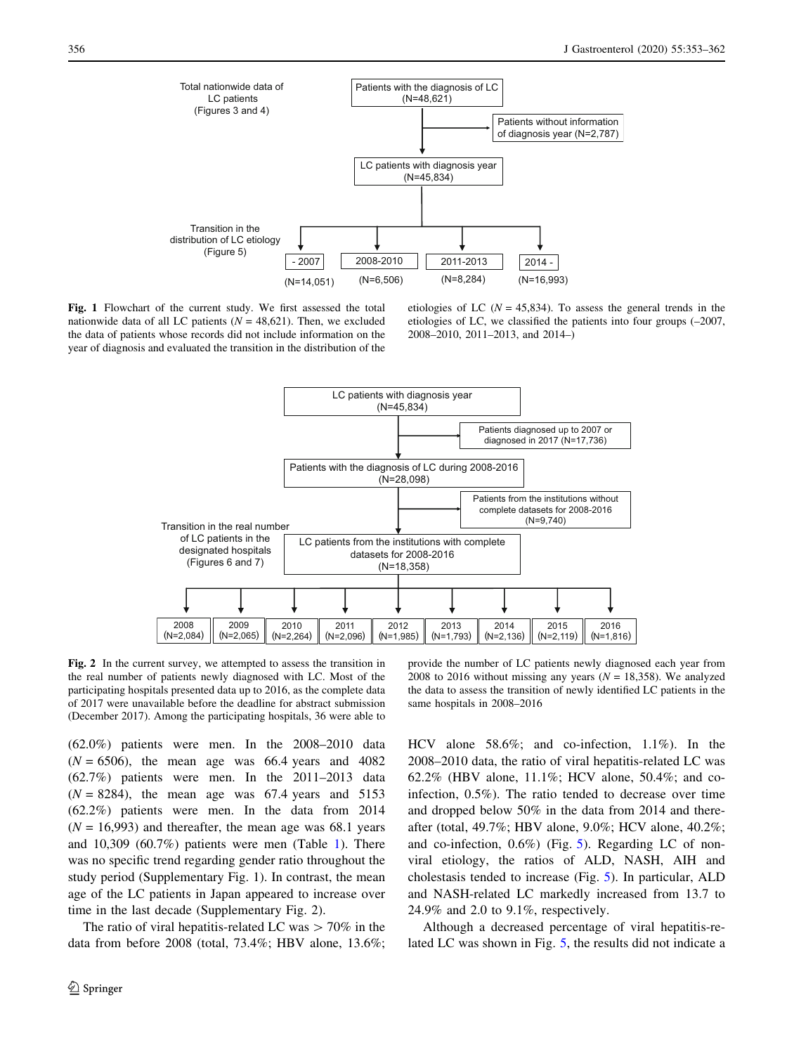<span id="page-3-0"></span>

Fig. 1 Flowchart of the current study. We first assessed the total nationwide data of all LC patients ( $N = 48,621$ ). Then, we excluded the data of patients whose records did not include information on the year of diagnosis and evaluated the transition in the distribution of the

etiologies of LC ( $N = 45,834$ ). To assess the general trends in the etiologies of LC, we classified the patients into four groups (–2007, 2008–2010, 2011–2013, and 2014–)



Fig. 2 In the current survey, we attempted to assess the transition in the real number of patients newly diagnosed with LC. Most of the participating hospitals presented data up to 2016, as the complete data of 2017 were unavailable before the deadline for abstract submission (December 2017). Among the participating hospitals, 36 were able to

 $(62.0\%)$  patients were men. In the  $2008-2010$  data  $(N = 6506)$ , the mean age was 66.4 years and 4082 (62.7%) patients were men. In the 2011–2013 data  $(N = 8284)$ , the mean age was 67.4 years and 5153 (62.2%) patients were men. In the data from 2014  $(N = 16,993)$  and thereafter, the mean age was 68.1 years and 10,309 (60.7%) patients were men (Table [1](#page-5-0)). There was no specific trend regarding gender ratio throughout the study period (Supplementary Fig. 1). In contrast, the mean age of the LC patients in Japan appeared to increase over time in the last decade (Supplementary Fig. 2).

The ratio of viral hepatitis-related LC was  $> 70\%$  in the data from before 2008 (total, 73.4%; HBV alone, 13.6%;

provide the number of LC patients newly diagnosed each year from 2008 to 2016 without missing any years  $(N = 18,358)$ . We analyzed the data to assess the transition of newly identified LC patients in the same hospitals in 2008–2016

HCV alone 58.6%; and co-infection, 1.1%). In the 2008–2010 data, the ratio of viral hepatitis-related LC was 62.2% (HBV alone, 11.1%; HCV alone, 50.4%; and coinfection, 0.5%). The ratio tended to decrease over time and dropped below 50% in the data from 2014 and thereafter (total, 49.7%; HBV alone, 9.0%; HCV alone, 40.2%; and co-infection, 0.6%) (Fig. [5\)](#page-5-0). Regarding LC of nonviral etiology, the ratios of ALD, NASH, AIH and cholestasis tended to increase (Fig. [5](#page-5-0)). In particular, ALD and NASH-related LC markedly increased from 13.7 to 24.9% and 2.0 to 9.1%, respectively.

Although a decreased percentage of viral hepatitis-related LC was shown in Fig. [5](#page-5-0), the results did not indicate a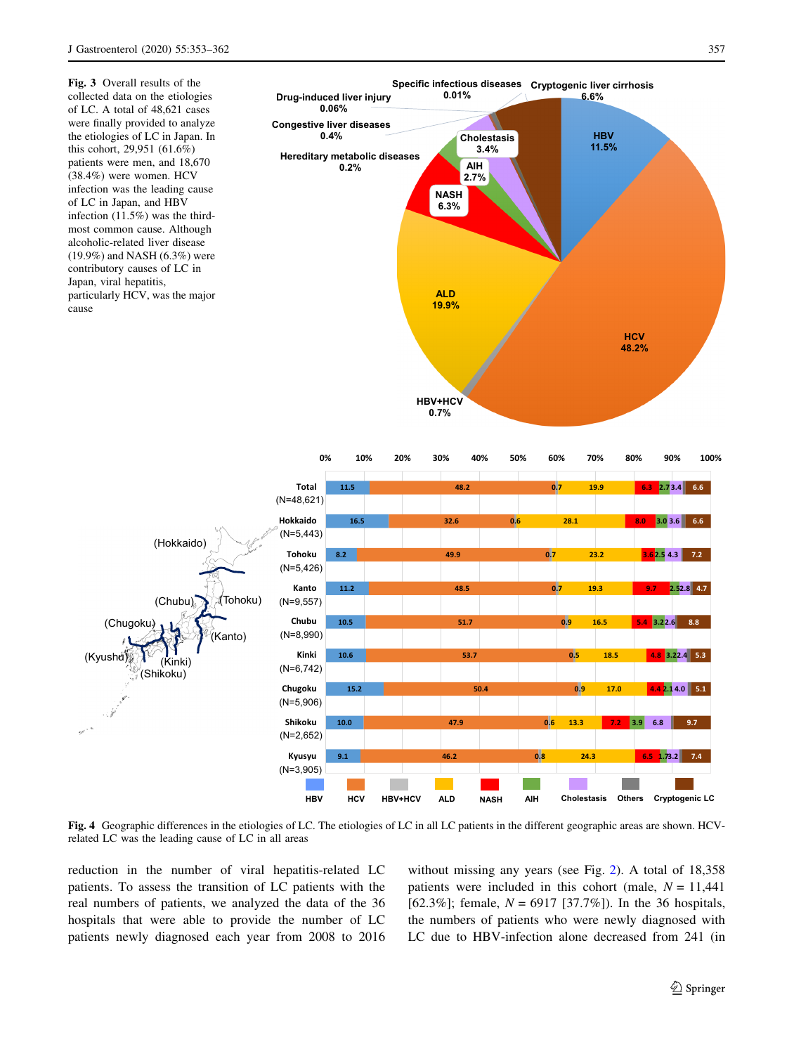<span id="page-4-0"></span>

Fig. 4 Geographic differences in the etiologies of LC. The etiologies of LC in all LC patients in the different geographic areas are shown. HCVrelated LC was the leading cause of LC in all areas

reduction in the number of viral hepatitis-related LC patients. To assess the transition of LC patients with the real numbers of patients, we analyzed the data of the 36 hospitals that were able to provide the number of LC patients newly diagnosed each year from 2008 to 2016

without missing any years (see Fig. [2](#page-3-0)). A total of 18,358 patients were included in this cohort (male,  $N = 11,441$ ) [62.3%]; female,  $N = 6917$  [37.7%]). In the 36 hospitals, the numbers of patients who were newly diagnosed with LC due to HBV-infection alone decreased from 241 (in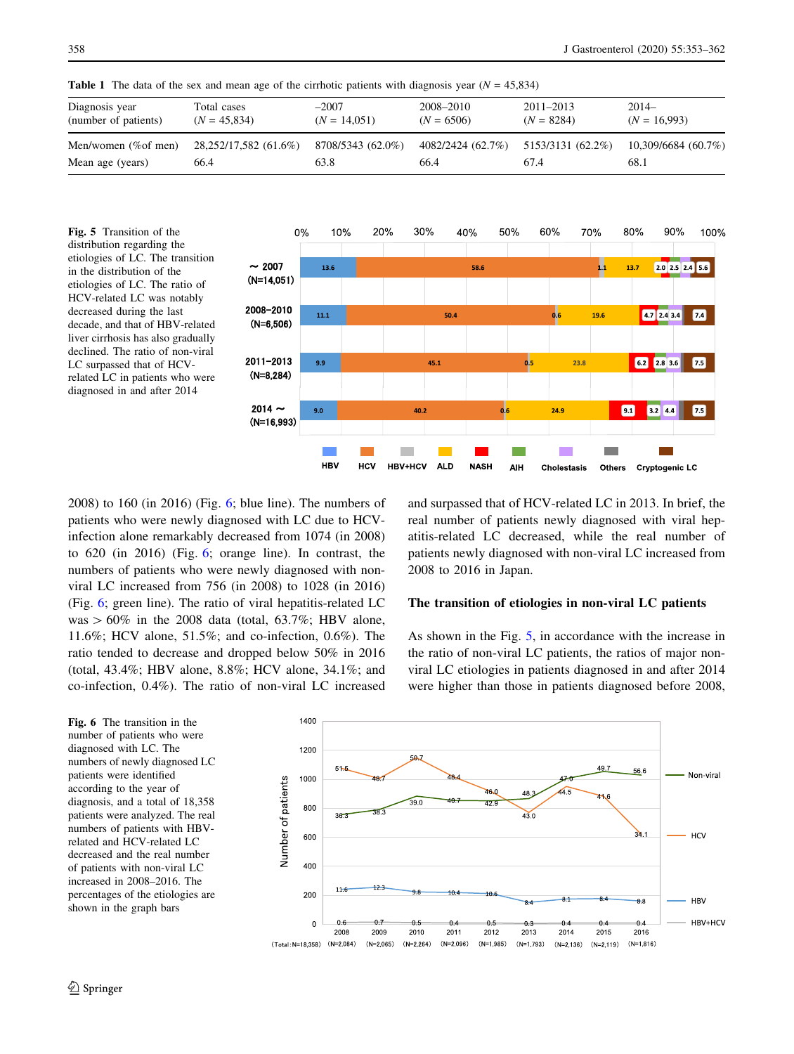| Diagnosis year<br>(number of patients) | Total cases<br>$(N = 45.834)$ | $-2007$<br>$(N = 14.051)$ | 2008–2010<br>$(N = 6506)$ | 2011-2013<br>$(N = 8284)$ | $2014-$<br>$(N = 16.993)$ |
|----------------------------------------|-------------------------------|---------------------------|---------------------------|---------------------------|---------------------------|
| Men/women (% of men)                   | 28,252/17,582 (61.6%)         | 8708/5343 (62.0%)         | 4082/2424 (62.7%)         | 5153/3131 (62.2%)         | 10,309/6684 (60.7%)       |
| Mean age (years)                       | 66.4                          | 63.8                      | 66.4                      | 67.4                      | 68.1                      |

<span id="page-5-0"></span>**Table 1** The data of the sex and mean age of the cirrhotic patients with diagnosis year ( $N = 45,834$ )



2008) to 160 (in 2016) (Fig. 6; blue line). The numbers of patients who were newly diagnosed with LC due to HCVinfection alone remarkably decreased from 1074 (in 2008) to 620 (in 2016) (Fig. 6; orange line). In contrast, the numbers of patients who were newly diagnosed with nonviral LC increased from 756 (in 2008) to 1028 (in 2016) (Fig. 6; green line). The ratio of viral hepatitis-related LC was  $> 60\%$  in the 2008 data (total, 63.7%; HBV alone, 11.6%; HCV alone, 51.5%; and co-infection, 0.6%). The ratio tended to decrease and dropped below 50% in 2016 (total, 43.4%; HBV alone, 8.8%; HCV alone, 34.1%; and co-infection, 0.4%). The ratio of non-viral LC increased and surpassed that of HCV-related LC in 2013. In brief, the real number of patients newly diagnosed with viral hepatitis-related LC decreased, while the real number of patients newly diagnosed with non-viral LC increased from 2008 to 2016 in Japan.

### The transition of etiologies in non-viral LC patients

As shown in the Fig. 5, in accordance with the increase in the ratio of non-viral LC patients, the ratios of major nonviral LC etiologies in patients diagnosed in and after 2014 were higher than those in patients diagnosed before 2008,

Fig. 6 The transition in the number of patients who were diagnosed with LC. The numbers of newly diagnosed LC patients were identified according to the year of diagnosis, and a total of 18,358 patients were analyzed. The real numbers of patients with HBVrelated and HCV-related LC decreased and the real number of patients with non-viral LC increased in 2008–2016. The percentages of the etiologies are shown in the graph bars

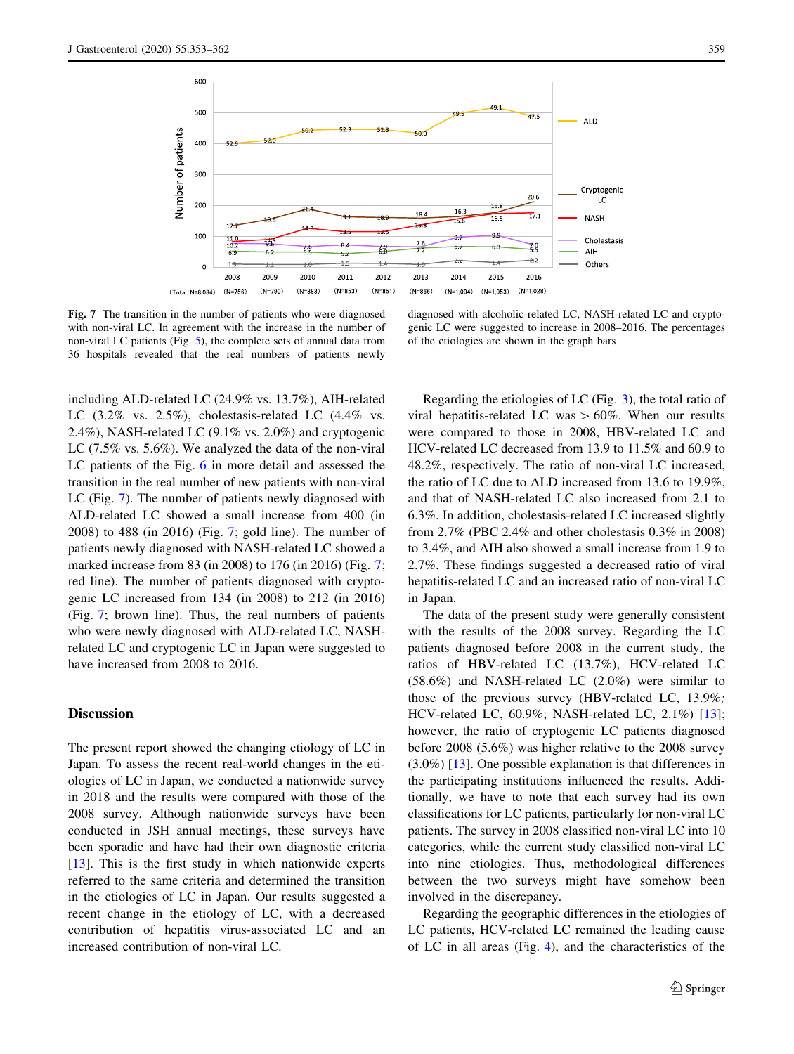<span id="page-6-0"></span>

Fig. 7 The transition in the number of patients who were diagnosed with non-viral LC. In agreement with the increase in the number of non-viral LC patients (Fig. [5\)](#page-5-0), the complete sets of annual data from 36 hospitals revealed that the real numbers of patients newly

including ALD-related LC (24.9% vs. 13.7%), AIH-related LC  $(3.2\%$  vs. 2.5%), cholestasis-related LC  $(4.4\%$  vs. 2.4%), NASH-related LC (9.1% vs. 2.0%) and cryptogenic LC (7.5% vs. 5.6%). We analyzed the data of the non-viral LC patients of the Fig. [6](#page-5-0) in more detail and assessed the transition in the real number of new patients with non-viral LC (Fig. 7). The number of patients newly diagnosed with ALD-related LC showed a small increase from 400 (in 2008) to 488 (in 2016) (Fig. 7; gold line). The number of patients newly diagnosed with NASH-related LC showed a marked increase from 83 (in 2008) to 176 (in 2016) (Fig. 7; red line). The number of patients diagnosed with cryptogenic LC increased from 134 (in 2008) to 212 (in 2016) (Fig. 7; brown line). Thus, the real numbers of patients who were newly diagnosed with ALD-related LC, NASHrelated LC and cryptogenic LC in Japan were suggested to have increased from 2008 to 2016.

## Discussion

The present report showed the changing etiology of LC in Japan. To assess the recent real-world changes in the etiologies of LC in Japan, we conducted a nationwide survey in 2018 and the results were compared with those of the 2008 survey. Although nationwide surveys have been conducted in JSH annual meetings, these surveys have been sporadic and have had their own diagnostic criteria [\[13](#page-9-0)]. This is the first study in which nationwide experts referred to the same criteria and determined the transition in the etiologies of LC in Japan. Our results suggested a recent change in the etiology of LC, with a decreased contribution of hepatitis virus-associated LC and an increased contribution of non-viral LC.

diagnosed with alcoholic-related LC, NASH-related LC and cryptogenic LC were suggested to increase in 2008–2016. The percentages of the etiologies are shown in the graph bars

Regarding the etiologies of LC (Fig. [3\)](#page-4-0), the total ratio of viral hepatitis-related LC was  $> 60\%$ . When our results were compared to those in 2008, HBV-related LC and HCV-related LC decreased from 13.9 to 11.5% and 60.9 to 48.2%, respectively. The ratio of non-viral LC increased, the ratio of LC due to ALD increased from 13.6 to 19.9%, and that of NASH-related LC also increased from 2.1 to 6.3%. In addition, cholestasis-related LC increased slightly from 2.7% (PBC 2.4% and other cholestasis 0.3% in 2008) to 3.4%, and AIH also showed a small increase from 1.9 to 2.7%. These findings suggested a decreased ratio of viral hepatitis-related LC and an increased ratio of non-viral LC in Japan.

The data of the present study were generally consistent with the results of the 2008 survey. Regarding the LC patients diagnosed before 2008 in the current study, the ratios of HBV-related LC (13.7%), HCV-related LC (58.6%) and NASH-related LC (2.0%) were similar to those of the previous survey (HBV-related LC, 13.9%; HCV-related LC, 60.9%; NASH-related LC, 2.1%) [\[13](#page-9-0)]; however, the ratio of cryptogenic LC patients diagnosed before 2008 (5.6%) was higher relative to the 2008 survey (3.0%) [[13\]](#page-9-0). One possible explanation is that differences in the participating institutions influenced the results. Additionally, we have to note that each survey had its own classifications for LC patients, particularly for non-viral LC patients. The survey in 2008 classified non-viral LC into 10 categories, while the current study classified non-viral LC into nine etiologies. Thus, methodological differences between the two surveys might have somehow been involved in the discrepancy.

Regarding the geographic differences in the etiologies of LC patients, HCV-related LC remained the leading cause of LC in all areas (Fig. [4](#page-4-0)), and the characteristics of the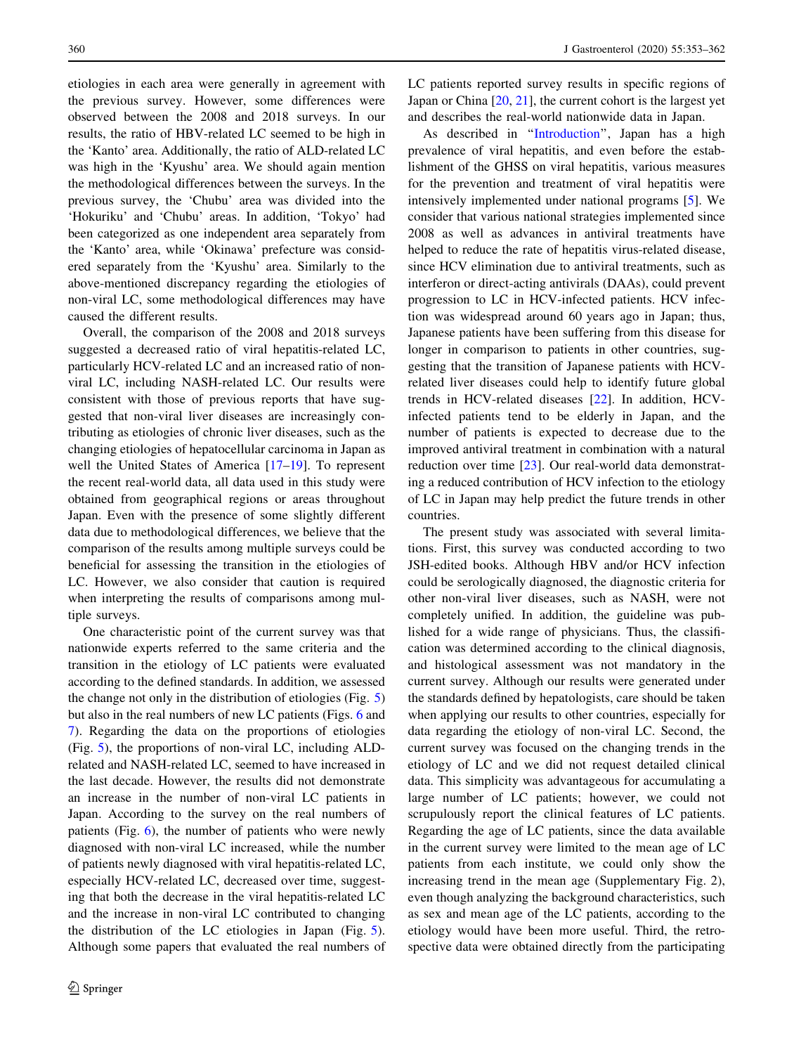etiologies in each area were generally in agreement with the previous survey. However, some differences were observed between the 2008 and 2018 surveys. In our results, the ratio of HBV-related LC seemed to be high in the 'Kanto' area. Additionally, the ratio of ALD-related LC was high in the 'Kyushu' area. We should again mention the methodological differences between the surveys. In the previous survey, the 'Chubu' area was divided into the 'Hokuriku' and 'Chubu' areas. In addition, 'Tokyo' had been categorized as one independent area separately from the 'Kanto' area, while 'Okinawa' prefecture was considered separately from the 'Kyushu' area. Similarly to the above-mentioned discrepancy regarding the etiologies of non-viral LC, some methodological differences may have caused the different results.

Overall, the comparison of the 2008 and 2018 surveys suggested a decreased ratio of viral hepatitis-related LC, particularly HCV-related LC and an increased ratio of nonviral LC, including NASH-related LC. Our results were consistent with those of previous reports that have suggested that non-viral liver diseases are increasingly contributing as etiologies of chronic liver diseases, such as the changing etiologies of hepatocellular carcinoma in Japan as well the United States of America [\[17–19](#page-9-0)]. To represent the recent real-world data, all data used in this study were obtained from geographical regions or areas throughout Japan. Even with the presence of some slightly different data due to methodological differences, we believe that the comparison of the results among multiple surveys could be beneficial for assessing the transition in the etiologies of LC. However, we also consider that caution is required when interpreting the results of comparisons among multiple surveys.

One characteristic point of the current survey was that nationwide experts referred to the same criteria and the transition in the etiology of LC patients were evaluated according to the defined standards. In addition, we assessed the change not only in the distribution of etiologies (Fig. [5\)](#page-5-0) but also in the real numbers of new LC patients (Figs. [6](#page-5-0) and [7](#page-6-0)). Regarding the data on the proportions of etiologies (Fig. [5](#page-5-0)), the proportions of non-viral LC, including ALDrelated and NASH-related LC, seemed to have increased in the last decade. However, the results did not demonstrate an increase in the number of non-viral LC patients in Japan. According to the survey on the real numbers of patients (Fig. [6](#page-5-0)), the number of patients who were newly diagnosed with non-viral LC increased, while the number of patients newly diagnosed with viral hepatitis-related LC, especially HCV-related LC, decreased over time, suggesting that both the decrease in the viral hepatitis-related LC and the increase in non-viral LC contributed to changing the distribution of the LC etiologies in Japan (Fig. [5](#page-5-0)). Although some papers that evaluated the real numbers of LC patients reported survey results in specific regions of Japan or China [[20,](#page-9-0) [21\]](#page-9-0), the current cohort is the largest yet and describes the real-world nationwide data in Japan.

As described in ''[Introduction](#page-1-0)'', Japan has a high prevalence of viral hepatitis, and even before the establishment of the GHSS on viral hepatitis, various measures for the prevention and treatment of viral hepatitis were intensively implemented under national programs [\[5](#page-9-0)]. We consider that various national strategies implemented since 2008 as well as advances in antiviral treatments have helped to reduce the rate of hepatitis virus-related disease, since HCV elimination due to antiviral treatments, such as interferon or direct-acting antivirals (DAAs), could prevent progression to LC in HCV-infected patients. HCV infection was widespread around 60 years ago in Japan; thus, Japanese patients have been suffering from this disease for longer in comparison to patients in other countries, suggesting that the transition of Japanese patients with HCVrelated liver diseases could help to identify future global trends in HCV-related diseases [[22\]](#page-9-0). In addition, HCVinfected patients tend to be elderly in Japan, and the number of patients is expected to decrease due to the improved antiviral treatment in combination with a natural reduction over time [\[23](#page-9-0)]. Our real-world data demonstrating a reduced contribution of HCV infection to the etiology of LC in Japan may help predict the future trends in other countries.

The present study was associated with several limitations. First, this survey was conducted according to two JSH-edited books. Although HBV and/or HCV infection could be serologically diagnosed, the diagnostic criteria for other non-viral liver diseases, such as NASH, were not completely unified. In addition, the guideline was published for a wide range of physicians. Thus, the classification was determined according to the clinical diagnosis, and histological assessment was not mandatory in the current survey. Although our results were generated under the standards defined by hepatologists, care should be taken when applying our results to other countries, especially for data regarding the etiology of non-viral LC. Second, the current survey was focused on the changing trends in the etiology of LC and we did not request detailed clinical data. This simplicity was advantageous for accumulating a large number of LC patients; however, we could not scrupulously report the clinical features of LC patients. Regarding the age of LC patients, since the data available in the current survey were limited to the mean age of LC patients from each institute, we could only show the increasing trend in the mean age (Supplementary Fig. 2), even though analyzing the background characteristics, such as sex and mean age of the LC patients, according to the etiology would have been more useful. Third, the retrospective data were obtained directly from the participating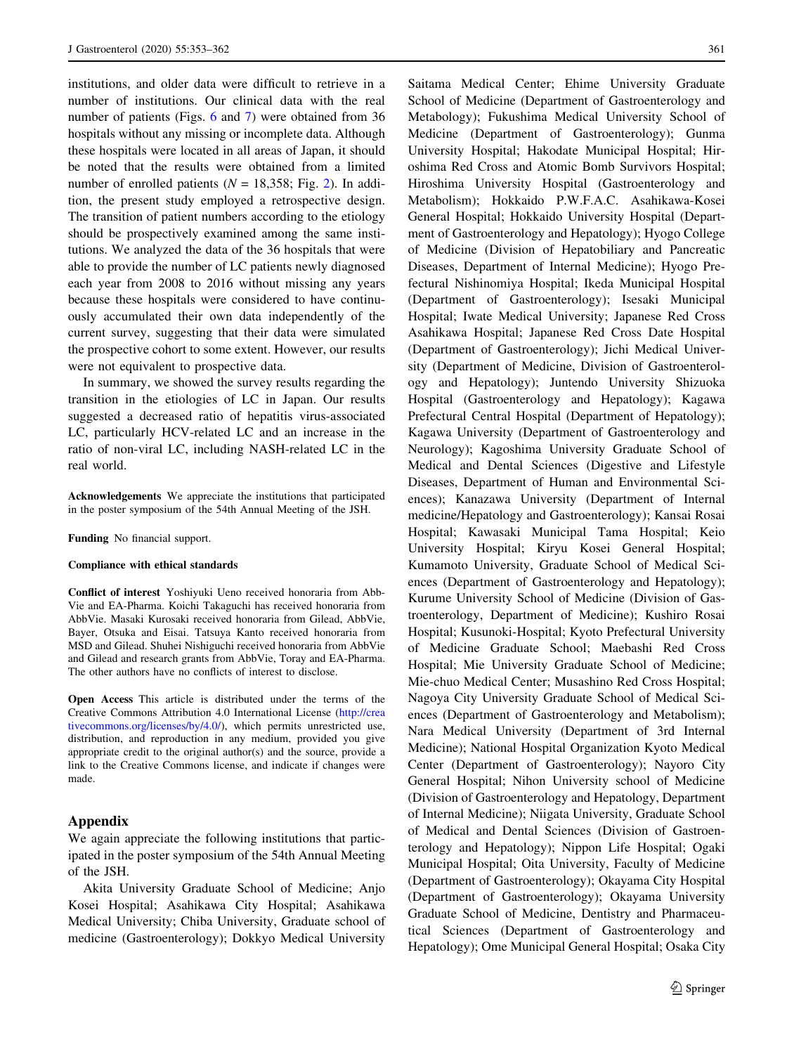institutions, and older data were difficult to retrieve in a number of institutions. Our clinical data with the real number of patients (Figs. [6](#page-5-0) and [7\)](#page-6-0) were obtained from 36 hospitals without any missing or incomplete data. Although these hospitals were located in all areas of Japan, it should be noted that the results were obtained from a limited number of enrolled patients ( $N = 18,358$ ; Fig. [2\)](#page-3-0). In addition, the present study employed a retrospective design. The transition of patient numbers according to the etiology should be prospectively examined among the same institutions. We analyzed the data of the 36 hospitals that were able to provide the number of LC patients newly diagnosed each year from 2008 to 2016 without missing any years because these hospitals were considered to have continuously accumulated their own data independently of the current survey, suggesting that their data were simulated the prospective cohort to some extent. However, our results were not equivalent to prospective data.

In summary, we showed the survey results regarding the transition in the etiologies of LC in Japan. Our results suggested a decreased ratio of hepatitis virus-associated LC, particularly HCV-related LC and an increase in the ratio of non-viral LC, including NASH-related LC in the real world.

Acknowledgements We appreciate the institutions that participated in the poster symposium of the 54th Annual Meeting of the JSH.

Funding No financial support.

#### Compliance with ethical standards

Conflict of interest Yoshiyuki Ueno received honoraria from Abb-Vie and EA-Pharma. Koichi Takaguchi has received honoraria from AbbVie. Masaki Kurosaki received honoraria from Gilead, AbbVie, Bayer, Otsuka and Eisai. Tatsuya Kanto received honoraria from MSD and Gilead. Shuhei Nishiguchi received honoraria from AbbVie and Gilead and research grants from AbbVie, Toray and EA-Pharma. The other authors have no conflicts of interest to disclose.

Open Access This article is distributed under the terms of the Creative Commons Attribution 4.0 International License ([http://crea](http://creativecommons.org/licenses/by/4.0/) [tivecommons.org/licenses/by/4.0/\)](http://creativecommons.org/licenses/by/4.0/), which permits unrestricted use, distribution, and reproduction in any medium, provided you give appropriate credit to the original author(s) and the source, provide a link to the Creative Commons license, and indicate if changes were made.

## Appendix

We again appreciate the following institutions that participated in the poster symposium of the 54th Annual Meeting of the JSH.

Akita University Graduate School of Medicine; Anjo Kosei Hospital; Asahikawa City Hospital; Asahikawa Medical University; Chiba University, Graduate school of medicine (Gastroenterology); Dokkyo Medical University

Saitama Medical Center; Ehime University Graduate School of Medicine (Department of Gastroenterology and Metabology); Fukushima Medical University School of Medicine (Department of Gastroenterology); Gunma University Hospital; Hakodate Municipal Hospital; Hiroshima Red Cross and Atomic Bomb Survivors Hospital; Hiroshima University Hospital (Gastroenterology and Metabolism); Hokkaido P.W.F.A.C. Asahikawa-Kosei General Hospital; Hokkaido University Hospital (Department of Gastroenterology and Hepatology); Hyogo College of Medicine (Division of Hepatobiliary and Pancreatic Diseases, Department of Internal Medicine); Hyogo Prefectural Nishinomiya Hospital; Ikeda Municipal Hospital (Department of Gastroenterology); Isesaki Municipal Hospital; Iwate Medical University; Japanese Red Cross Asahikawa Hospital; Japanese Red Cross Date Hospital (Department of Gastroenterology); Jichi Medical University (Department of Medicine, Division of Gastroenterology and Hepatology); Juntendo University Shizuoka Hospital (Gastroenterology and Hepatology); Kagawa Prefectural Central Hospital (Department of Hepatology); Kagawa University (Department of Gastroenterology and Neurology); Kagoshima University Graduate School of Medical and Dental Sciences (Digestive and Lifestyle Diseases, Department of Human and Environmental Sciences); Kanazawa University (Department of Internal medicine/Hepatology and Gastroenterology); Kansai Rosai Hospital; Kawasaki Municipal Tama Hospital; Keio University Hospital; Kiryu Kosei General Hospital; Kumamoto University, Graduate School of Medical Sciences (Department of Gastroenterology and Hepatology); Kurume University School of Medicine (Division of Gastroenterology, Department of Medicine); Kushiro Rosai Hospital; Kusunoki-Hospital; Kyoto Prefectural University of Medicine Graduate School; Maebashi Red Cross Hospital; Mie University Graduate School of Medicine; Mie-chuo Medical Center; Musashino Red Cross Hospital; Nagoya City University Graduate School of Medical Sciences (Department of Gastroenterology and Metabolism); Nara Medical University (Department of 3rd Internal Medicine); National Hospital Organization Kyoto Medical Center (Department of Gastroenterology); Nayoro City General Hospital; Nihon University school of Medicine (Division of Gastroenterology and Hepatology, Department of Internal Medicine); Niigata University, Graduate School of Medical and Dental Sciences (Division of Gastroenterology and Hepatology); Nippon Life Hospital; Ogaki Municipal Hospital; Oita University, Faculty of Medicine (Department of Gastroenterology); Okayama City Hospital (Department of Gastroenterology); Okayama University Graduate School of Medicine, Dentistry and Pharmaceutical Sciences (Department of Gastroenterology and Hepatology); Ome Municipal General Hospital; Osaka City